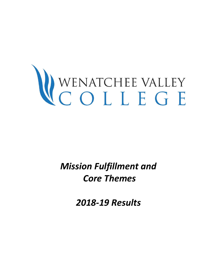# WENATCHEE VALLEY<br>COLLEGE

*Mission Fulfillment and Core Themes* 

*2018-19 Results*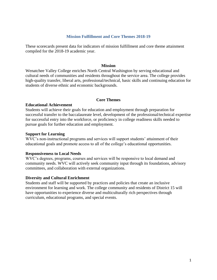#### **Mission Fulfillment and Core Themes 2018-19**

These scorecards present data for indicators of mission fulfillment and core theme attainment compiled for the 2018-19 academic year.

#### **Mission**

Wenatchee Valley College enriches North Central Washington by serving educational and cultural needs of communities and residents throughout the service area. The college provides high-quality transfer, liberal arts, professional/technical, basic skills and continuing education for students of diverse ethnic and economic backgrounds.

#### **Core Themes**

#### **Educational Achievement**

Students will achieve their goals for education and employment through preparation for successful transfer to the baccalaureate level, development of the professional/technical expertise for successful entry into the workforce, or proficiency in college readiness skills needed to pursue goals for further education and employment.

#### **Support for Learning**

WVC's non-instructional programs and services will support students' attainment of their educational goals and promote access to all of the college's educational opportunities.

#### **Responsiveness to Local Needs**

WVC's degrees, programs, courses and services will be responsive to local demand and community needs. WVC will actively seek community input through its foundations, advisory committees, and collaboration with external organizations.

#### **Diversity and Cultural Enrichment**

Students and staff will be supported by practices and policies that create an inclusive environment for learning and work. The college community and residents of District 15 will have opportunities to experience diverse and multiculturally rich perspectives through curriculum, educational programs, and special events.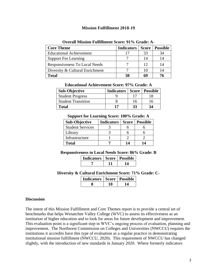#### **Mission Fulfillment 2018-19**

| <b>Core Theme</b>               | <b>Indicators</b> | Score | <b>Possible</b> |
|---------------------------------|-------------------|-------|-----------------|
| <b>Educational Achievement</b>  | 17                | 33    | 34              |
| <b>Support For Learning</b>     |                   |       | 14              |
| Responsiveness To Local Needs   |                   | 12    | 14              |
| Diversity & Cultural Enrichment |                   |       | 14              |
| <b>Total</b>                    | 38                | 69    |                 |

#### **Overall Mission Fulfillment Score: 91% Grade: A-**

| <b>Educational Achievement Score: 97% Grade: A</b> |  |  |  |  |
|----------------------------------------------------|--|--|--|--|
|----------------------------------------------------|--|--|--|--|

| <b>Sub-Objective</b>      | Indicators   Score   Possible |    |    |
|---------------------------|-------------------------------|----|----|
| <b>Student Progress</b>   |                               |    |    |
| <b>Student Transition</b> |                               | 16 | 16 |
| Total                     |                               | 33 | 34 |

#### **Support for Learning Score: 100% Grade: A**

| <b>Sub-Objective</b>    | <b>Indicators</b> | <b>Score</b> | <b>Possible</b> |
|-------------------------|-------------------|--------------|-----------------|
| <b>Student Services</b> |                   |              |                 |
| Library                 |                   |              |                 |
| Infrastructure          |                   |              |                 |
| <b>Total</b>            |                   | 14           | 14              |

#### **Responsiveness to Local Needs Score: 86% Grade: B**

| <b>Indicators   Score   Possible</b> |  |
|--------------------------------------|--|
|                                      |  |

#### **Diversity & Cultural Enrichment Score: 71% Grade: C-**

| <b>Indicators   Score   Possible</b> |  |
|--------------------------------------|--|
|                                      |  |

#### **Discussion**

The intent of this Mission Fulfillment and Core Themes report is to provide a central set of benchmarks that helps Wenatchee Valley College (WVC) to assess its effectiveness as an institution of higher education and to look for areas for future development and improvement. This evaluation point is a significant step in WVC's ongoing process of evaluation, planning and improvement. The Northwest Commission on Colleges and Universities (NWCCU) requires the institutions it accredits have this type of evaluation as a regular practice in demonstrating institutional mission fulfillment (NWCCU, 2020). This requirement of NWCCU has changed slightly, with the introduction of new standards in January 2020. Where formerly indicators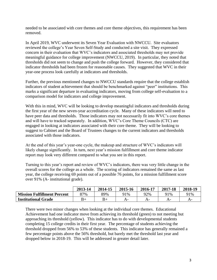needed to be associated with core themes and core theme objectives, this requirement has been removed.

In April 2019, WVC underwent its Seven Year Evaluation with NWCCU. Site evaluators reviewed the college's Year Seven Self-Study and conducted a site visit. They expressed concern in their evaluation that WVC's indicators and associated thresholds may not provide meaningful guidance for college improvement (NWCCU, 2019). In particular, they noted that thresholds did not seem to change and push the college forward. However, they considered that indicator thresholds had been frozen for reasonable causes. They suggested that WVC in their year-one process look carefully at indicators and thresholds.

Further, the previous mentioned changes to NWCCU standards require that the college establish indicators of student achievement that should be benchmarked against "peer" institutions. This marks a significant departure in evaluating indicators, moving from college self-evaluation to a comparison model for indicators and college improvement.

With this in mind, WVC will be looking to develop meaningful indicators and thresholds during the first year of the new seven-year accreditation cycle. Many of these indicators will need to have peer data and thresholds. Those indicators may not necessarily fit into WVC's core themes and will have to tracked separately. In addition, WVC's Core Theme Councils (CTC) are engaged in looking at indicators associated with their core theme. They will be looking to suggest to Cabinet and the Board of Trustees changes to the current indicators and thresholds associated with those indicators.

At the end of this year's year-one cycle, the makeup and structure of WVC's indicators will likely change significantly. In turn, next year's mission fulfillment and core theme indicator report may look very different compared to what you see in this report.

Turning to this year's report and review of WVC's indicators, there was very little change in the overall scores for the college as a whole. The scoring of indicators remained the same as last year, the college receiving 69 points out of a possible 76 points, for a mission fulfillment score over 91% (A- institutional grade).

|                                    | 2013-14 | 2014-15 | 2015-16 | 2016-17 | 2017-18 | 2018-19 |
|------------------------------------|---------|---------|---------|---------|---------|---------|
| <b>Mission Fulfillment Percent</b> | 87%     | 89%     | 91%     | 92%     | 91%     | 91%     |
| <b>Institutional Grade</b>         |         | B+      | A-      |         |         | A-      |

There were two minor changes when looking at the individual core themes. Educational Achievement had one indicator move from achieving its threshold (green) to not meeting but approaching its threshold (yellow). This indicator has to do with developmental students completing 15 college credits in their first year. The percentage of students achieving the threshold dropped from 56% to 53% of these students. This indicator has generally remained a few percentage points above the 56% threshold, but barely met the threshold last year and dropped below in 2018-19. This will be addressed in greater detail later.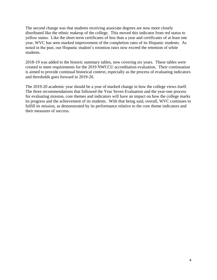The second change was that students receiving associate degrees are now more closely distributed like the ethnic makeup of the college. This moved this indicator from red status to yellow status. Like the short-term certificates of less than a year and certificates of at least one year, WVC has seen marked improvement of the completion rates of its Hispanic students. As noted in the past, our Hispanic student's retention rates now exceed the retention of white students.

2018-19 was added to the historic summary tables, now covering six years. These tables were created to meet requirements for the 2019 NWCCU accreditation evaluation. Their continuation is aimed to provide continual historical context, especially as the process of evaluating indicators and thresholds goes forward in 2019-20.

The 2019-20 academic year should be a year of marked change in how the college views itself. The three recommendations that followed the Year Seven Evaluation and the year-one process for evaluating mission, core themes and indicators will have an impact on how the college marks its progress and the achievement of its students. With that being said, overall, WVC continues to fulfill its mission, as demonstrated by its performance relative to the core theme indicators and their measures of success.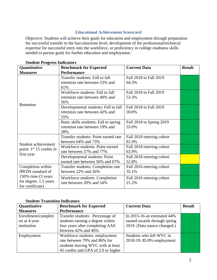### **Educational Achievement Scorecard**

Objective: Students will achieve their goals for education and employment through preparation for successful transfer to the baccalaureate level, development of the professional/technical expertise for successful entry into the workforce, or proficiency in college readiness skills needed to pursue goals for further education and employment.

| Quantitative                                                     | <b>Benchmark for Expected</b>                                                  | <b>Current Data</b>                | <b>Result</b> |
|------------------------------------------------------------------|--------------------------------------------------------------------------------|------------------------------------|---------------|
| <b>Measures</b>                                                  | <b>Performance</b>                                                             |                                    |               |
|                                                                  | Transfer students: Fall to fall<br>retention rate between 53% and<br>61%       | Fall 2018 to Fall 2019<br>64.3%    |               |
|                                                                  | Workforce students: Fall to fall<br>retention rate between 40% and<br>56%      | Fall 2018 to Fall 2019<br>53.3%    |               |
| Retention                                                        | Developmental students: Fall to fall<br>retention rate between 42% and<br>55%  | Fall 2018 to Fall 2019<br>50.0%    |               |
|                                                                  | Basic skills students: Fall to spring<br>retention rate between 19% and<br>28% | Fall 2018 to Spring 2019<br>33.0%  |               |
| Student achievement                                              | Transfer students: Point earned rate<br>between 64% and 73%                    | Fall 2018 entering cohort<br>81.9% |               |
| point: $1st 15$ credits in                                       | Workforce students: Point earned<br>rate between 57% and 77%                   | Fall 2018 entering cohort<br>63.9% |               |
| first year                                                       | Developmental students: Point<br>earned rate between 56% and 67%               | Fall 2018 entering cohort<br>52.8% |               |
| Completion within<br><b>IPEDS</b> standard of                    | Transfer students: Completion rate<br>between 22% and 26%                      | Fall 2016 entering cohort<br>35.1% |               |
| 150% time (3 years)<br>for degree, 1.5 years<br>for certificate) | Workforce students: Completion<br>rate between 20% and 54%                     | Fall 2016 entering cohort<br>21.2% |               |

## **Student Progress Indicators**

#### **Student Transition Indicators**

| Quantitative        | <b>Benchmark for Expected</b>       | <b>Current Data</b>            | <b>Result</b> |
|---------------------|-------------------------------------|--------------------------------|---------------|
| <b>Measures</b>     | <b>Performance</b>                  |                                |               |
| Enrollment/completi | Transfer students: Percentage of    | In 2015-16 an estimated $44\%$ |               |
| on at 4-year        | students earning a degree within    | earned awards through spring   |               |
| institution         | four years after completing AAS     | 2019. (Data source changed.)   |               |
|                     | between 42% and 46%                 |                                |               |
| Employment          | Workforce students: employment      | Students who left WVC in       |               |
|                     | rate between 79% and 86% for        | 2018-19: 85.8% employment      |               |
|                     | students leaving WVC with at least  |                                |               |
|                     | 45 credits and GPA of 2.0 or higher |                                |               |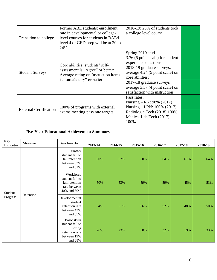| Transition to college         | Former ABE students: enrollment<br>rate in developmental or college-<br>level courses for students in BAEd<br>level 4 or GED prep will be at 20 to<br>24%. | $2018-19:20\%$ of students took<br>a college level course.                                   |  |
|-------------------------------|------------------------------------------------------------------------------------------------------------------------------------------------------------|----------------------------------------------------------------------------------------------|--|
|                               | Core abilities: students' self-                                                                                                                            | Spring 2019 stud<br>3.76 (5 point scale) for student<br>experience questions.                |  |
| <b>Student Surveys</b>        | assessment is "Agree" or better;<br>Average rating on Instruction items                                                                                    | 2018-19 graduate surveys:<br>average 4.24 (5 point scale) on<br>core abilities;              |  |
|                               | is "satisfactory" or better                                                                                                                                | 2017-18 graduate surveys<br>average 3.37 (4 point scale) on<br>satisfaction with instruction |  |
|                               | 100% of programs with external                                                                                                                             | Pass rates:<br>Nursing – RN: $98\%$ (2017)<br>Nursing – LPN: 100% (2017)                     |  |
| <b>External Certification</b> | exams meeting pass rate targets                                                                                                                            | Radiologic Tech (2018) 100%<br>Medical Lab Tech (2017)<br>100%                               |  |

# F**ive-Year Educational Achievement Summary**

| <b>Key</b><br><b>Indicator</b> | <b>Measure</b> | <b>Benchmarks</b>                                                                            | 2013-14 | 2014-15 | 2015-16 | 2016-17 | 2017-18 | 2018-19 |
|--------------------------------|----------------|----------------------------------------------------------------------------------------------|---------|---------|---------|---------|---------|---------|
| Student<br>Progress            | Retention      | Transfer<br>student fall to<br>fall retention<br>between 53%<br>and $61\%$                   | 60%     | 62%     | 60%     | 64%     | 61%     | 64%     |
|                                |                | Workforce<br>student fall to<br>fall retention<br>rate between<br>40% and 50%                | 50%     | 53%     | 59%     | 59%     | 45%     | 53%     |
|                                |                | Developmental<br>student<br>retention rate<br>between 42%<br>and 55%                         | 54%     | 51%     | 56%     | 52%     | 48%     | 50%     |
|                                |                | <b>Basic skills</b><br>student fall to<br>spring<br>retention rate<br>between 19%<br>and 28% | 26%     | 23%     | 38%     | 32%     | 19%     | 33%     |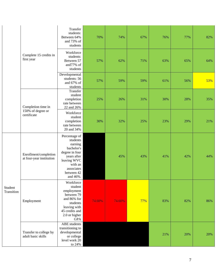|                       |                                                   | Transfer<br>students:<br>Between 64%<br>and 73% of<br>students                                                                                        | 70%    | 74%    | 67% | 76% | 77% | 82% |
|-----------------------|---------------------------------------------------|-------------------------------------------------------------------------------------------------------------------------------------------------------|--------|--------|-----|-----|-----|-----|
|                       | Complete 15 credits in<br>first year              | Workforce<br>students:<br>Between 57<br>and77% of<br>students                                                                                         | 57%    | 62%    | 71% | 63% | 65% | 64% |
|                       |                                                   | Developmental<br>students: 56<br>and 67% of<br>students                                                                                               | 57%    | 59%    | 59% | 61% | 56% | 53% |
|                       | Completion time in                                | Transfer<br>student<br>completion<br>rate between<br>22 and 26%                                                                                       | 25%    | 26%    | 31% | 30% | 28% | 35% |
|                       | 150% of degree or<br>certificate                  | Workforce<br>student<br>completion<br>rate between<br>20 and 34%                                                                                      | 30%    | 32%    | 25% | 23% | 29% | 21% |
| Student<br>Transition | Enrollment/completion<br>at four-year institution | Percentage of<br>students<br>earning<br>bachelor's<br>degree in four<br>years after<br>leaving WVC<br>with an<br>associates<br>between 42<br>and 46%. |        | 45%    | 43% | 41% | 42% | 44% |
|                       | Employment                                        | Workforce<br>student<br>employment<br>between 79<br>and 86% for<br>students<br>leaving with<br>45 credits and<br>2.0 or higher<br><b>GPA</b>          | 74.60% | 74.60% | 77% | 83% | 82% | 86% |
|                       | Transfer to college by<br>adult basic skills      | <b>ABE</b> students<br>transitioning to<br>developmental<br>or college<br>level work 20<br>to 24%                                                     |        |        |     | 21% | 20% | 20% |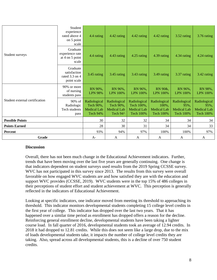|                                | Student<br>experience<br>rated above 4<br>on 5 point<br>scale | 4.4 rating                                                         | 4.42 rating                                          | 4.42 rating                                                          | 4.42 rating                                                     | 3.52 rating                                                    | 3.76 rating                                                    |
|--------------------------------|---------------------------------------------------------------|--------------------------------------------------------------------|------------------------------------------------------|----------------------------------------------------------------------|-----------------------------------------------------------------|----------------------------------------------------------------|----------------------------------------------------------------|
| Student surveys                | Graduate<br>experience rate<br>at 4 on 5 point<br>scale       | 4.4 rating                                                         | 4.43 rating                                          | 4.25 rating                                                          | 4.39 rating                                                     | 4.34 rating                                                    | 4.24 rating                                                    |
|                                | Graduate<br>satisfaction<br>rated $3.3$ on $4$<br>point scale | 3.45 rating                                                        | 3.45 rating                                          | 3.43 rating                                                          | 3.49 rating                                                     | 3.37 rating                                                    | 3.42 rating                                                    |
|                                | 90% or more<br>of nursing<br>students pass                    | RN 90%,<br><b>LPN 98%</b>                                          | RN 96%,<br><b>LPN 100%</b>                           | RN 96%,<br><b>LPN</b> 100%                                           | RN 90&,<br><b>LPN</b> 100%                                      | RN 96%,<br><b>LPN 100%</b>                                     | RN 98%,<br><b>LPN 100%</b>                                     |
| Student external certification | 90% of<br>Radiologic<br>Tech students<br>pass                 | Radiological<br>Tech 90%,<br><b>Medical Lab</b><br><b>Tech 94%</b> | Radiological<br>Tech 90%,<br>Medical Lab<br>Tech 94^ | Radiological<br>Tech 100%,<br><b>Medical Lab</b><br><b>Tech 100%</b> | Radiological<br>100%,<br><b>Medical Lab</b><br><b>Tech 100%</b> | Radiological<br>95%.<br><b>Medical Lab</b><br><b>Tech 100%</b> | Radiological<br>95%,<br><b>Medical Lab</b><br><b>Tech 100%</b> |
| <b>Possible Points</b>         |                                                               | 30                                                                 | 32                                                   | 32                                                                   | 34                                                              | 34                                                             | 34                                                             |
| <b>Points Earned</b>           |                                                               | 28                                                                 | 30                                                   | 31                                                                   | 34                                                              | 34                                                             | 33                                                             |
| Percent                        |                                                               | 93%                                                                | 94%                                                  | 97%                                                                  | 100%                                                            | 100%                                                           | 97%                                                            |
| Grade                          |                                                               | A-                                                                 | A                                                    | A                                                                    | A                                                               | A                                                              | A                                                              |

#### **Discussion**

Overall, there has not been much change in the Educational Achievement indicators. Further, trends that have been moving over the last five years are generally continuing. One change is that indicators dependent on student surveys used results from the 2019 Spring CCSSE survey. WVC has not participated in this survey since 2013. The results from this survey were overall favorable on how engaged WVC students are and how satisfied they are with the education and support WVC provides (CCSSE, 2019). WVC students were in the top 15% of 486 colleges in their perceptions of student effort and student achievement at WVC. This perception is generally reflected in the indicators of Educational Achievement.

Looking at specific indicators, one indicator moved from meeting its threshold to approaching its threshold. This indicator monitors developmental students completing 15 college level credits in the first year of college. This indicator has dropped over the last two years. That it has happened over a similar time period as enrollment has dropped offers a reason for the decline. Reinforcing general enrollment decline, developmental students have been taking a lighter course load. In fall quarter of 2016, developmental students took an average of 12.94 credits. In 2018 it had dropped to 12.81 credits. While this does not seem like a large drop, due to the mix of loads developmental students take, it impacts the number of college level credits they are taking. Also, spread across all developmental students, this is a decline of over 750 student credits.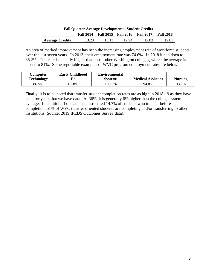|                        | <b>Fall 2014</b> | Fall 2015   Fall 2016 | <b>Fall 2017</b> | <b>Fall 2018</b> |
|------------------------|------------------|-----------------------|------------------|------------------|
| <b>Average Credits</b> | ر∠.د ۱           | . 2.94                | 12.83            |                  |

| <b>Fall Quarter Average Developmental Student Credits</b> |
|-----------------------------------------------------------|
|-----------------------------------------------------------|

An area of marked improvement has been the increasing employment rate of workforce students over the last seven years. In 2013, their employment rate was 74.6%. In 2018 it had risen to 86.2%. This rate is actually higher than most other Washington colleges, where the average is closer to 81%. Some reportable examples of WVC program employment rates are below.

| Computer<br><b>Technology</b> | <b>Early Childhood</b><br>Ed | <b>Environmental</b><br><b>Systems</b> | <b>Medical Assistant</b> | <b>Nursing</b> |
|-------------------------------|------------------------------|----------------------------------------|--------------------------|----------------|
| 86.5%                         | $.8\%$                       | $.00.0\%$                              | 94.8%                    | 93.1%          |

Finally, it is to be noted that transfer student completion rates are as high in 2018-19 as they have been for years that we have data. At 36%, it is generally 6% higher than the college system average. In addition, if one adds the estimated 14.7% of students who transfer before completion, 51% of WVC transfer oriented students are completing and/or transferring to other institutions (Source: 2019 IPEDS Outcomes Survey data).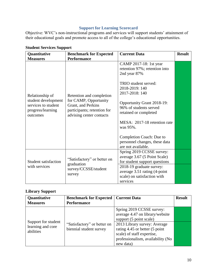## **Support for Learning Scorecard**

Objective: WVC's non-instructional programs and services will support students' attainment of their educational goals and promote access to all of the college's educational opportunities.

| Quantitative                                                                                   | <b>Benchmark for Expected</b>                                                                          | <b>Current Data</b>                                                                                 | <b>Result</b> |
|------------------------------------------------------------------------------------------------|--------------------------------------------------------------------------------------------------------|-----------------------------------------------------------------------------------------------------|---------------|
| <b>Measures</b>                                                                                | <b>Performance</b>                                                                                     |                                                                                                     |               |
|                                                                                                |                                                                                                        | CAMP 2017-18: 1st year<br>retention 97%; retention into<br>2nd year 87%                             |               |
| Relationship of<br>student development<br>services to student<br>progress/learning<br>outcomes | Retention and completion                                                                               | TRIO student served:<br>2018-2019: 140<br>2017-2018: 140                                            |               |
|                                                                                                | for CAMP, Opportunity<br>Grant, and Perkins<br>participants; retention for<br>advising center contacts | Opportunity Grant 2018-19:<br>96% of students served<br>retained or completed                       |               |
|                                                                                                |                                                                                                        | MESA: 2017-18 retention rate<br>was 95%.                                                            |               |
|                                                                                                |                                                                                                        | Completion Coach: Due to<br>personnel changes, these data<br>are not available.                     |               |
| Student satisfaction<br>with services                                                          | "Satisfactory" or better on                                                                            | Spring 2019 CCSSE survey:<br>average 3.67 (5 Point Scale)<br>for student support questions          |               |
|                                                                                                | graduation<br>survey/CCSSE/student<br>survey                                                           | 2018-19 graduate survey:<br>average 3.51 rating (4-point<br>scale) on satisfaction with<br>services |               |

## **Student Services Support**

# **Library Support**

| Quantitative<br><b>Measures</b>                       | <b>Benchmark for Expected</b><br><b>Performance</b>    | <b>Current Data</b>                                                                                                                                                                                                                       | <b>Result</b> |
|-------------------------------------------------------|--------------------------------------------------------|-------------------------------------------------------------------------------------------------------------------------------------------------------------------------------------------------------------------------------------------|---------------|
| Support for student<br>learning and core<br>abilities | "Satisfactory" or better on<br>biennial student survey | Spring 2019 CCSSE survey:<br>average 4.47 on library/website<br>support (5 point scale)<br>2013 Library survey: Average<br>rating 4.45 or better (5 point<br>scale) of staff expertise,<br>professionalism, availability (No<br>new data) |               |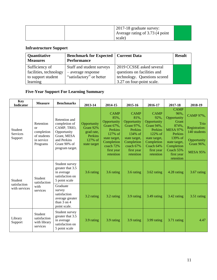| 2017-18 graduate survey:        |  |
|---------------------------------|--|
| Average rating of 3.73 (4 point |  |
| scale)                          |  |

# **Infrastructure Support**

| Quantitative<br><b>Measures</b> | <b>Benchmark for Expected   Current Data</b><br><b>Performance</b> |                              | <b>Result</b> |
|---------------------------------|--------------------------------------------------------------------|------------------------------|---------------|
| Sufficiency of                  | Staff and student surveys                                          | 2019 CCSSE asked several     |               |
| facilities, technology          | - average response                                                 | questions on facilities and  |               |
| to support student              | "satisfactory" or better                                           | technology. Questions scored |               |
| learning                        |                                                                    | 3.27 on four-point scale.    |               |

# **Five-Year Support For Learning Summary**

| <b>Key</b><br><b>Indicator</b>           | <b>Measure</b>                                                               | <b>Benchmarks</b>                                                                                                             | 2013-14                                                                              | 2014-15                                                                                                                                       | 2015-16                                                                                                                                              | 2016-17                                                                                                                                              | 2017-18                                                                                                                                                              | 2018-19                                                                                                   |
|------------------------------------------|------------------------------------------------------------------------------|-------------------------------------------------------------------------------------------------------------------------------|--------------------------------------------------------------------------------------|-----------------------------------------------------------------------------------------------------------------------------------------------|------------------------------------------------------------------------------------------------------------------------------------------------------|------------------------------------------------------------------------------------------------------------------------------------------------------|----------------------------------------------------------------------------------------------------------------------------------------------------------------------|-----------------------------------------------------------------------------------------------------------|
| Student<br>Services<br>Support           | Retention<br>$\alpha$<br>completion<br>of students<br>in service<br>Programs | Retention and<br>completion of<br>CAMP, TRIO,<br>Opportunity<br>Grant, MESA<br>and Perkins<br>Grant 90% of<br>program target. | Opportunity<br>Grant 92%<br>grad rate,<br>Perkins<br>127% of<br>state target         | <b>CAMP</b><br>85%,<br>Opportunity<br>Grant 67%,<br>Perkins<br>127% of<br>state target,<br>Completion<br>coach 72%<br>first year<br>retention | <b>CAMP</b><br>81%,<br>Opportunity<br><b>Grant 97%,</b><br>Perkins<br>134% of<br>state target,<br>Completion<br>coach 67%<br>first year<br>retention | <b>CAMP</b><br>92%,<br>Opportunity<br><b>Grant 94%,</b><br>Perkins<br>122% of<br>state target,<br>Completion<br>Coach 64%<br>first year<br>retention | <b>CAMP</b><br>96%.<br>Opportunity<br>Grant<br>874%,<br><b>MESA 97%</b><br>Perkins<br>139% of<br>state target,<br>Completion<br>Coach 55%<br>first year<br>retention | CAMP 97%,<br>Trio<br><b>Registration:</b><br>140 students<br>Opportunity<br>Grant 96%,<br><b>MESA 95%</b> |
| Student<br>satisfaction<br>with services | <b>Student</b><br>satisfaction<br>with<br>services                           | Student survey<br>greater that 3.5<br>in average<br>satisfaction on<br>5 point scale                                          | 3.6 rating                                                                           | 3.6 rating                                                                                                                                    | 3.6 rating                                                                                                                                           | 3.62 rating                                                                                                                                          | 4.28 rating                                                                                                                                                          | 3.67 rating                                                                                               |
|                                          |                                                                              |                                                                                                                               | Graduate<br>survey<br>satisfaction<br>average greater<br>than 3 on 4<br>point scale. | 3.2 rating                                                                                                                                    | 3.2 rating                                                                                                                                           | 3.9 rating                                                                                                                                           | 3.49 rating                                                                                                                                                          | 3.42 rating                                                                                               |
| Library<br>Support                       | Student<br>satisfaction<br>with library<br>services                          | Student survey<br>greater that 3.5<br>in average<br>satisfaction on<br>5 point scale                                          | 3.9 rating                                                                           | 3.9 rating                                                                                                                                    | 3.9 rating                                                                                                                                           | 3.99 rating                                                                                                                                          | 3.71 rating                                                                                                                                                          | 4.47                                                                                                      |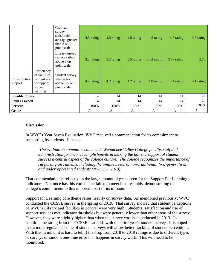|                           |                                                                                  | Graduate<br>survey<br>satisfaction<br>average greater<br>than $3$ on $5$<br>point scale. | 4.5 rating | 4.5 rating | 4.5 rating | 4.5 rating    | 4.5 rating  | 4.5 rating |
|---------------------------|----------------------------------------------------------------------------------|------------------------------------------------------------------------------------------|------------|------------|------------|---------------|-------------|------------|
|                           |                                                                                  | Library survey<br>service rating<br>above 3 on 4<br>point scale                          | 3.2 rating | 3.2 rating | 3.5 rating | $3.62$ rating | 3.27 rating | 3.73       |
| Infrastructure<br>support | Sufficiency<br>of facilities,<br>technology<br>to support<br>student<br>learning | Student survey<br>satisfaction<br>above $3.5$ on $5$<br>point scale                      | 4.2 rating | 4.2 rating | 4.2 rating | 4.0 rating    | 4.4 rating  | 4.1 rating |
| <b>Possible Points</b>    |                                                                                  | 14                                                                                       | 14         | 14         | 14         | 14            | 14          |            |
| <b>Points Earned</b>      |                                                                                  | 14                                                                                       | 14         | 14         | 14         | 14            | 14          |            |
| Percent                   |                                                                                  | 100%                                                                                     | 100%       | 100%       | 100%       | 100%          | 100%        |            |
| Grade                     |                                                                                  |                                                                                          | $A-$       | A          | A          | A             | A           | A          |

#### **Discussion**

In WVC's Year Seven Evaluation, WVC received a commendation for its commitment to supporting its students. It stated:

*The evaluation committee commends Wenatchee Valley College faculty, staff and administration for their accomplishments in making the holistic support of student success a central aspect of the college culture. The college recognizes the importance of supporting all students, including the unique needs of non‐traditional, first‐generation, and underrepresented students (NWCCU, 2019).*

That commendation is reflected in the large amount of green seen for the Support For Learning indicators. Not once has this core theme failed to meet its thresholds, demonstrating the college's commitment to this important part of its mission.

Support for Learning core theme relies heavily on survey data. As mentioned previously, WVC conducted the CCSSE survey in the spring of 2019. That survey showed that student perceptions of WVC's Library and facilities in general were very high. Students' satisfaction and use of support services met indicator thresholds but were generally lower than other areas of the survey. However, they were slightly higher than when the survey was last conducted in 2013. In addition, the rating from the CCSSE is at odds with the prior year's student survey. It is hoped that a more regular schedule of student surveys will allow better tracking of student perceptions. With that in mind, it is hard to tell if the drop from 2018 to 2019 ratings is due to different types of surveys or random one-time error that happens in survey work. This will need to be monitored.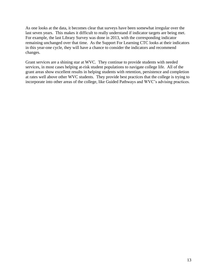As one looks at the data, it becomes clear that surveys have been somewhat irregular over the last seven years. This makes it difficult to really understand if indicator targets are being met. For example, the last Library Survey was done in 2013, with the corresponding indicator remaining unchanged over that time. As the Support For Learning CTC looks at their indicators in this year-one cycle, they will have a chance to consider the indicators and recommend changes.

Grant services are a shining star at WVC. They continue to provide students with needed services, in most cases helping at-risk student populations to navigate college life. All of the grant areas show excellent results in helping students with retention, persistence and completion at rates well above other WVC students. They provide best practices that the college is trying to incorporate into other areas of the college, like Guided Pathways and WVC's advising practices.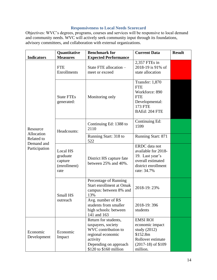## **Responsiveness to Local Needs Scorecard**

Objectives: WVC's degrees, programs, courses and services will be responsive to local demand and community needs. WVC will actively seek community input through its foundations, advisory committees, and collaboration with external organizations.

|                                                                     | <b>Benchmark for</b><br>Quantitative                    |                                                                                                                                                       |                                                                                                                           | <b>Result</b> |
|---------------------------------------------------------------------|---------------------------------------------------------|-------------------------------------------------------------------------------------------------------------------------------------------------------|---------------------------------------------------------------------------------------------------------------------------|---------------|
| <b>Indicators</b>                                                   | <b>Measures</b>                                         | <b>Expected Performance</b>                                                                                                                           |                                                                                                                           |               |
| Resource<br>Allocation<br>Related to<br>Demand and<br>Participation | <b>FTE</b><br>Enrollments                               | State FTE allocation -<br>meet or exceed                                                                                                              | 2,357 FTEs in<br>2018-19 is 91% of<br>state allocation                                                                    |               |
|                                                                     | <b>State FTEs</b><br>generated:                         | Monitoring only                                                                                                                                       | Transfer: 1,870<br><b>FTE</b><br>Workforce: 890<br><b>FTE</b><br>Developmental:<br><b>173 FTE</b><br>BAEd: 204 FTE        |               |
|                                                                     | Headcounts:                                             | Continuing Ed: 1388 to<br>2110                                                                                                                        | Continuing Ed:<br>1599                                                                                                    |               |
|                                                                     |                                                         | Running Start: 318 to<br>522                                                                                                                          | Running Start: 871                                                                                                        |               |
|                                                                     | Local HS<br>graduate<br>capture<br>(enrollment)<br>rate | District HS capture fate<br>between 25% and 40%.                                                                                                      | <b>ERDC</b> data not<br>available for 2018-<br>19. Last year's<br>overall estimated<br>district enrollment<br>rate: 34.7% |               |
|                                                                     | Small HS                                                | Percentage of Running<br><b>Start enrollment at Omak</b><br>campus: between 8% and<br>13%                                                             | 2018-19:23%                                                                                                               |               |
|                                                                     | outreach                                                | Avg. number of RS<br>students from smaller<br>high schools: between<br>141 and 163                                                                    | 2018-19:396<br>students                                                                                                   |               |
| Economic<br>Economic<br>Development<br>Impact                       |                                                         | Return for students,<br>taxpayers, society<br>WVC contribution to<br>regional economic<br>activity<br>Depending on approach<br>\$120 to \$160 million | <b>EMSI ROI</b><br>economic impact<br>study $(2012)$<br>\$152.8m<br>Rollover estimate<br>$(2017-18)$ of \$109<br>million. |               |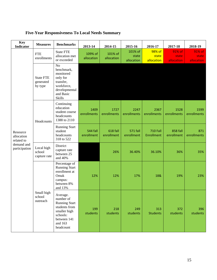| <b>Key</b><br><b>Indicator</b>                                      | <b>Measures</b>                          | <b>Benchmarks</b>                                                                                                                 | 2013-14                | 2014-15                | 2015-16                        | 2016-17                       | 2017-18                       | 2018-19                       |
|---------------------------------------------------------------------|------------------------------------------|-----------------------------------------------------------------------------------------------------------------------------------|------------------------|------------------------|--------------------------------|-------------------------------|-------------------------------|-------------------------------|
|                                                                     | <b>FTE</b><br>enrollments                | <b>State FTE</b><br>allocation met<br>or exceeded                                                                                 | 109% of<br>allocation  | 101% of<br>allocation  | 101% of<br>state<br>allocation | 98% of<br>state<br>allocation | 91% of<br>state<br>allocation | 91% of<br>state<br>allocation |
| Resource<br>allocation<br>related to<br>demand and<br>participation | <b>State FTE</b><br>generated<br>by type | No<br>benchmark,<br>monitored<br>only for<br>transfer,<br>workforce,<br>developmental<br>and Basic<br>Skills                      |                        |                        |                                |                               |                               |                               |
|                                                                     | Headcounts                               | Continuing<br>education<br>student course<br>headcounts<br>1388 to 2110                                                           | 1409<br>enrollments    | 1727<br>enrollments    | 2247<br>enrollments            | 2367<br>enrollments           | 1528<br>enrollments           | 1599<br>enrollments           |
|                                                                     |                                          | <b>Running Start</b><br>student<br>headcounts<br>318 to 522                                                                       | 544 fall<br>enrollment | 618 fall<br>enrollment | <b>571 fall</b><br>enrollment  | <b>710 Fall</b><br>Enrollment | 858 fall<br>enrollment        | 871<br>enrollments            |
|                                                                     | Local high<br>school<br>capture rate     | District<br>capture rate<br>between 25<br>and 40%                                                                                 |                        | 26%                    | 36.40%                         | 36.10%                        | 36%                           | 35%                           |
|                                                                     |                                          | Percentage of<br><b>Running Start</b><br>enrollment at<br>Omak<br>campus:<br>between 8%<br>and 13%                                | 12%                    | 12%                    | 17%                            | 18&                           | 19%                           | 23%                           |
|                                                                     | Small high<br>school<br>outreach         | Average.<br>number of<br><b>Running Start</b><br>students from<br>smaller high<br>schools:<br>between 141<br>and 163<br>headcount | 199<br>students        | 218<br>students        | 249<br>students                | 313<br><b>Students</b>        | 372<br>students               | 396<br>students               |

# **Five-Year Responsiveness To Local Needs Summary**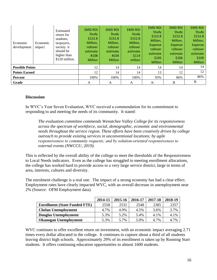| Economic<br>development | Economic<br>impact | Estimated<br>return for<br>students,<br>taxpayers,<br>society. it<br>should be<br>higher than<br>\$120 million. | <b>EMSI ROI</b><br>Study<br>\$152.8<br>Million,<br>rollover<br>estimate<br>#108<br><b>Million</b> | <b>EMSI ROI</b><br>Study<br>\$152.8<br>Million,<br>rollover<br>estimate<br>#104<br><b>Million</b> | <b>EMSI ROI</b><br>Study<br>\$152.8<br>Million,<br>rollover<br>estimate<br>\$114<br>million | <b>EMSI ROI</b><br>Study<br>\$152.8<br>Million,<br>Expense<br>rollover<br>estimate<br>\$105<br><b>Million</b> | <b>EMSI ROI</b><br>Study<br>\$152.8<br>Million,<br>Expense<br>rollover<br>estimate<br>\$106<br><b>Million</b> | <b>EMSI ROI</b><br>Study<br>\$152.8<br>Million,<br>Expense<br>rollover<br>estimate<br>\$109<br><b>Million</b> |
|-------------------------|--------------------|-----------------------------------------------------------------------------------------------------------------|---------------------------------------------------------------------------------------------------|---------------------------------------------------------------------------------------------------|---------------------------------------------------------------------------------------------|---------------------------------------------------------------------------------------------------------------|---------------------------------------------------------------------------------------------------------------|---------------------------------------------------------------------------------------------------------------|
| <b>Possible Points</b>  |                    | 12                                                                                                              | 14                                                                                                | 14                                                                                                | 14                                                                                          | 14                                                                                                            | 14                                                                                                            |                                                                                                               |
| <b>Points Earned</b>    |                    |                                                                                                                 | 12                                                                                                | 14                                                                                                | 14                                                                                          | 13                                                                                                            | 12                                                                                                            | 12                                                                                                            |
| Percent                 |                    |                                                                                                                 | 100%                                                                                              | 100%                                                                                              | 100%                                                                                        | 93%                                                                                                           | 86%                                                                                                           | 86%                                                                                                           |
| Grade                   |                    |                                                                                                                 | A                                                                                                 | A                                                                                                 | A                                                                                           | $A-$                                                                                                          | B                                                                                                             | B                                                                                                             |

#### **Discussion**

In WVC's Year Seven Evaluation, WVC received a commendation for its commitment to responding to and meeting the needs of its community. It stated:

*The evaluation committee commends Wenatchee Valley College for its responsiveness across the spectrum of workforce, social, demographic, economic and environmental needs throughout the service region. These efforts have been creatively driven by college outreach to provide existing services in unconventional locations; by agile responsiveness to community requests; and by solution‐oriented responsiveness to external events (NWCCU, 2019).*

This is reflected by the overall ability of the college to meet the thresholds of the Responsiveness to Local Needs indicators. Even as the college has struggled in meeting enrollment allocations, the college has worked hard to provide access to a very large service district, large in terms of area, interests, cultures and diversity.

The enrolment challenge is a real one. The impact of a strong economy has had a clear effect. Employment rates have clearly impacted WVC, with an overall decrease in unemployment near 2% (Source: OFM Employment data).

|                                      | 2014-15 | 2015-16 | 2016-17 | 2017-18 | 2018-19 |
|--------------------------------------|---------|---------|---------|---------|---------|
| <b>Enrollment (State Funded FTE)</b> | 2558    | 2531    | 2548    | 2385    | 2357    |
| <b>Chelan Unemployment</b>           | 4.7%    | 4.9%    | 4.5%    | 3.6%    | 3.7%    |
| <b>Douglas Unemployment</b>          | 5.3%    | 5.2%    | 5.4%    | 4.1%    | 4.1%    |
| <b>Okanogan Unemployment</b>         | 5.3%    | 5.7%    | 5.0%    | 4.7%    | 4.7%    |

WVC continues to offer excellent return on investment, with an economic impact averaging 2.71 times every dollar allocated to the college. It continues to capture about a third of all students leaving district high schools. Approximately 29% of its enrollment is taken up by Running Start students. It offers continuing education opportunities to almost 1600 students.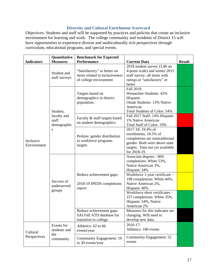## **Diversity and Cultural Enrichment Scorecard**

Objectives: Students and staff will be supported by practices and policies that create an inclusive environment for learning and work. The college community and residents of District 15 will have opportunities to experience diverse and multiculturally rich perspectives through curriculum, educational programs, and special events.

|                          | Quantitative                        | <b>Benchmark for Expected</b>                                                           |                                                                                                                                                                  |               |
|--------------------------|-------------------------------------|-----------------------------------------------------------------------------------------|------------------------------------------------------------------------------------------------------------------------------------------------------------------|---------------|
| <b>Indicators</b>        | <b>Measures</b>                     | <b>Performance</b>                                                                      | <b>Current Data</b>                                                                                                                                              | <b>Result</b> |
|                          | Student and<br>staff surveys        | "Satisfactory" or better on<br>items related to inclusiveness<br>of college environment | 2018 student survey (3.46 on<br>4-point scale) and winter 2015<br>staff survey: all items with<br>ratings at "satisfactory" or<br>better                         |               |
|                          | Student,                            | Targets based on<br>demographics in district<br>population.                             | <b>Fall 2018</b><br><b>Wenatchee Students: 42%</b><br>Hispanic<br>Omak Students: 13% Native<br>American<br>Total Students of Color: 54%                          |               |
|                          | faculty and<br>staff<br>demographic | Faculty & staff targets based<br>on student demographics                                | Fall 2017 Staff: 14% Hispanic<br>1% Native American<br>Total Staff of Color: 19%                                                                                 |               |
| Inclusive<br>Environment | S                                   | Perkins: gender distribution<br>in workforce programs<br>targets                        | 2017-18: 19.4% of<br>enrollments, 18.5% of<br>completions are nontraditional<br>gender. Both were above state<br>targets. Data not yet available<br>for 2018-19. |               |
|                          | Success of<br>underserved<br>groups |                                                                                         | Associate degrees - 804<br>completions: White 53%,<br>Native American 3%,<br>Hispanic 34%                                                                        |               |
|                          |                                     | Reduce achievement gaps:<br>2018-19 IPEDS completions<br>report:                        | Workforce 1-year certificate -<br>198 completions: White 44%,<br>Native American 2%,<br>Hispanic 40%                                                             |               |
|                          |                                     |                                                                                         | Workforce short certificates -<br>237 completions: White 35%,<br>Hispanic 54%, Native<br>American 2%                                                             |               |
|                          |                                     | Reduce achievement gaps:<br>SAI Fall ATD database for<br>transition to college.         | Measures for this indicator are<br>changing. Will need to<br>develop new data.                                                                                   |               |
| Cultural                 | Events for<br>students and<br>the   | Athletics: 62 to 66<br>events/year                                                      | 2016-17:<br>Athletics: 180 events                                                                                                                                |               |
| Perspectives             | community                           | Community Engagement: 19<br>to 30 events/year                                           | Community Engagement: 52<br>events                                                                                                                               |               |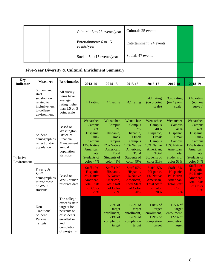| Cultural: 8 to 23 events/year         | Cultural: 25 events      |  |
|---------------------------------------|--------------------------|--|
| Entertainment: 6 to 15<br>events/year | Entertainment: 24 events |  |
| Social: 5 to 15 events/year           | Social: 47 events        |  |

# **Five-Year Diversity & Cultural Enrichment Summary**

| <b>Key</b><br><b>Indicator</b> | <b>Measures</b>                                                                                  | <b>Benchmarks</b>                                                                                                           | 2013-14                                                                                                                          | 2014-15                                                                                                                          | 2015-16                                                                                                                   | 2016-17                                                                                                                          | 2017-18                                                                                                                                                                                                                                                                                              | 2018-19                                                                                                                          |
|--------------------------------|--------------------------------------------------------------------------------------------------|-----------------------------------------------------------------------------------------------------------------------------|----------------------------------------------------------------------------------------------------------------------------------|----------------------------------------------------------------------------------------------------------------------------------|---------------------------------------------------------------------------------------------------------------------------|----------------------------------------------------------------------------------------------------------------------------------|------------------------------------------------------------------------------------------------------------------------------------------------------------------------------------------------------------------------------------------------------------------------------------------------------|----------------------------------------------------------------------------------------------------------------------------------|
|                                | Student and<br>staff<br>satisfaction<br>related to<br>inclusiveness<br>to college<br>environment | All survey<br>items have<br>average<br>rating higher<br>than 3.5 on 5<br>point scale                                        | 4.1 rating                                                                                                                       | 4.1 rating                                                                                                                       | 4.1 rating                                                                                                                | 4.1 rating<br>$($ on 5 point<br>scale)                                                                                           | 3.46 rating<br>$($ on 4 point<br>scale)                                                                                                                                                                                                                                                              | 3.46 rating<br>(no new<br>survey)                                                                                                |
| Inclusive<br>Environment       | Student<br>demographics<br>reflect district<br>population                                        | Based on<br>Washington<br>Office of<br>Financial<br>Management<br>annual<br>population<br>statistics                        | Wenatchee<br>Campus<br>35%<br>Hispanic,<br>Omak<br>Campus<br>13% Native<br>American,<br>Total<br><b>Students of</b><br>color 47% | Wenatchee<br>Campus<br>37%<br>Hispanic,<br>Omak<br>Campus<br>12% Native<br>American,<br>Total<br><b>Students of</b><br>color 49% | Wenatchee<br>Campus<br>37%<br>Hispanic,<br>Omak<br>Campus<br>12% Native<br>American,<br>Total<br>Students of<br>color 49% | Wenatchee<br>Campus<br>40%<br>Hispanic,<br>Omak<br>Campus<br>13% Native<br>American,<br>Total<br><b>Students of</b><br>color 51% | Wenatchee<br>Campus<br>41%<br>Hispanic,<br>Omak<br>Campus<br>13% Native<br>American,<br>Total<br>Students of<br>color 53%<br><b>Staff 15%</b><br>Hispanic,<br>1% Native<br>American,<br><b>Total Staff</b><br>of Color<br>17%<br>115% of<br>target<br>enrollment,<br>122% of<br>completion<br>target | Wenatchee<br>Campus<br>42%<br>Hispanic,<br>Omak<br>Campus<br>15% Native<br>American,<br>Total<br><b>Students of</b><br>color 54% |
|                                | Faculty &<br>Staff<br>demographics<br>mirror those<br>of WVC<br>students                         | Based on<br>WVC human<br>resource data                                                                                      | <b>Staff 13%</b><br>Hispanic,<br>2% Native<br>American,<br><b>Total Staff</b><br>of Color<br>20%                                 | <b>Staff 15%</b><br>Hispanic,<br>1% Native<br>American,<br><b>Total Staff</b><br>of Color<br>20%                                 | <b>Staff 15%</b><br>Hispanic,<br>1% Native<br>American,<br><b>Total Staff</b><br>of Color<br>20%                          | <b>Staff 15%</b><br>Hispanic,<br>1% Native<br>American,<br><b>Total Staff</b><br>of Color<br>20%                                 |                                                                                                                                                                                                                                                                                                      | <b>Staff 14%</b><br>Hispanic,<br>1% Native<br>American.<br><b>Total Staff</b><br>of Color<br>19%                                 |
|                                | Non-<br>Traditional<br>Student<br>Perkins<br>Targets                                             | The college<br>exceeds state<br>targets for<br>percentage<br>of students<br>enrolled in<br>and<br>completion<br>of programs |                                                                                                                                  | 123% of<br>target<br>enrollment,<br>$121\%$ of<br>completion<br>target                                                           | 125% of<br>target<br>enrollment,<br>126% of<br>completion<br>target                                                       | 118% of<br>target<br>enrollment,<br>129% of<br>completion<br>target                                                              |                                                                                                                                                                                                                                                                                                      |                                                                                                                                  |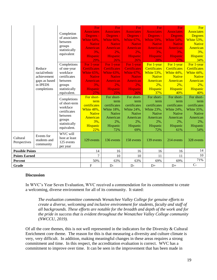|                          | Reduce<br>racial/ethnic<br>achievement<br>gaps as based<br>in IPEDS<br>completions | Completion<br>of associates<br>between<br>groups<br>statistically<br>equivalent<br>Completions<br>of one-year<br>workface<br>certificates<br>between<br>groups<br>statistically<br>equivalent.<br>Completions<br>of short-term<br>workface<br>certificates<br>between<br>groups<br>statistically<br>equivalent. | For<br><b>Associates</b><br>Degrees -<br>White 64%.<br><b>Native</b><br>American<br>3%,<br><b>Hispanic</b><br>29%<br>For 1-year<br><b>Certificates</b><br>White 65%,<br><b>Native</b><br><b>American</b><br>3%,<br><b>Hispanic</b><br>27%<br>For short-<br>term<br>certificates<br>White 48%,<br><b>Native</b><br>American<br>$3\%$ .<br>Hispanic<br>22% | For<br><b>Associates</b><br>Degrees -<br>White 66%,<br><b>Native</b><br>American<br>2%,<br><b>Hispanic</b><br>26%<br>For 1-year<br><b>Certificates</b><br>White 63%,<br><b>Native</b><br><b>American</b><br>2%,<br><b>Hispanic</b><br>25%<br>For short-<br>term<br>certificates<br>White 18%,<br><b>Native</b><br>American<br>2%,<br>Hispanic<br>72% | For<br><b>Associates</b><br>Degrees -<br>White 67%,<br><b>Native</b><br><b>American</b><br>2%,<br><b>Hispanic</b><br>26%<br>For 1-year<br><b>Certificates</b><br><b>White 67%,</b><br><b>Native</b><br>American<br>$2\%$ ,<br><b>Hispanic</b><br>26%<br>For short-<br>term<br>certificates<br>White 24%,<br><b>Native</b><br>American<br>2%,<br>Hispanic<br>69% | For<br><b>Associates</b><br>Degrees -<br>White 59%,<br><b>Native</b><br><b>American</b><br>3%,<br><b>Hispanic</b><br>28%<br>For 1-year<br><b>Certificates</b><br>White 53%,<br><b>Native</b><br>American<br>$2\%$ ,<br><b>Hispanic</b><br>37%<br>For short-<br>term<br>certificates<br>White 23%,<br><b>Native</b><br>American<br>2%,<br>Hispanic<br>72% | For<br><b>Associates</b><br><b>Degrees</b><br><b>White 54%,</b><br><b>Native</b><br><b>American</b><br>3%,<br><b>Hispanic</b><br>27%<br>For 1-year<br><b>Certificates</b><br>White 44%,<br><b>Native</b><br>American<br>$2\%$ ,<br>Hispanic<br>40%<br>For short-<br>term<br>certificates<br>White 24%,<br><b>Native</b><br>American<br>2%,<br>Hispanic<br>61% | For<br><b>Associates</b><br><b>Degrees</b><br>White 53%,<br><b>Native</b><br>American<br>$3\%,$<br>Hispanic<br>34%<br>For 1-year<br><b>Certificates</b><br>White 44%,<br><b>Native</b><br>American<br>$2\%,$<br><b>Hispanic</b><br>40%<br>For short-<br>term<br>certificates<br>White 35%,<br><b>Native</b><br>American<br>2%,<br>Hispanic<br>54% |
|--------------------------|------------------------------------------------------------------------------------|-----------------------------------------------------------------------------------------------------------------------------------------------------------------------------------------------------------------------------------------------------------------------------------------------------------------|----------------------------------------------------------------------------------------------------------------------------------------------------------------------------------------------------------------------------------------------------------------------------------------------------------------------------------------------------------|------------------------------------------------------------------------------------------------------------------------------------------------------------------------------------------------------------------------------------------------------------------------------------------------------------------------------------------------------|-----------------------------------------------------------------------------------------------------------------------------------------------------------------------------------------------------------------------------------------------------------------------------------------------------------------------------------------------------------------|----------------------------------------------------------------------------------------------------------------------------------------------------------------------------------------------------------------------------------------------------------------------------------------------------------------------------------------------------------|---------------------------------------------------------------------------------------------------------------------------------------------------------------------------------------------------------------------------------------------------------------------------------------------------------------------------------------------------------------|---------------------------------------------------------------------------------------------------------------------------------------------------------------------------------------------------------------------------------------------------------------------------------------------------------------------------------------------------|
| Cultural<br>Perspectives | Events for<br>students and<br>community                                            | WVC will<br>host at least<br>125 events<br>per year                                                                                                                                                                                                                                                             | 129 events                                                                                                                                                                                                                                                                                                                                               | 136 events                                                                                                                                                                                                                                                                                                                                           | 158 events                                                                                                                                                                                                                                                                                                                                                      | 139 events                                                                                                                                                                                                                                                                                                                                               | 214 events                                                                                                                                                                                                                                                                                                                                                    | 328 events                                                                                                                                                                                                                                                                                                                                        |
| <b>Possible Points</b>   |                                                                                    |                                                                                                                                                                                                                                                                                                                 | 14                                                                                                                                                                                                                                                                                                                                                       | 16                                                                                                                                                                                                                                                                                                                                                   | 16                                                                                                                                                                                                                                                                                                                                                              | 16                                                                                                                                                                                                                                                                                                                                                       | 16                                                                                                                                                                                                                                                                                                                                                            | 14                                                                                                                                                                                                                                                                                                                                                |
|                          |                                                                                    |                                                                                                                                                                                                                                                                                                                 | $\overline{7}$                                                                                                                                                                                                                                                                                                                                           | 10                                                                                                                                                                                                                                                                                                                                                   | 10                                                                                                                                                                                                                                                                                                                                                              | 11                                                                                                                                                                                                                                                                                                                                                       | 11                                                                                                                                                                                                                                                                                                                                                            | 10                                                                                                                                                                                                                                                                                                                                                |
| <b>Points Earned</b>     |                                                                                    |                                                                                                                                                                                                                                                                                                                 |                                                                                                                                                                                                                                                                                                                                                          |                                                                                                                                                                                                                                                                                                                                                      |                                                                                                                                                                                                                                                                                                                                                                 |                                                                                                                                                                                                                                                                                                                                                          |                                                                                                                                                                                                                                                                                                                                                               | 71%                                                                                                                                                                                                                                                                                                                                               |
| <b>Percent</b>           |                                                                                    |                                                                                                                                                                                                                                                                                                                 | 50%                                                                                                                                                                                                                                                                                                                                                      | 63%                                                                                                                                                                                                                                                                                                                                                  | 63%                                                                                                                                                                                                                                                                                                                                                             | 69%                                                                                                                                                                                                                                                                                                                                                      | 69%                                                                                                                                                                                                                                                                                                                                                           |                                                                                                                                                                                                                                                                                                                                                   |
| Grade                    |                                                                                    |                                                                                                                                                                                                                                                                                                                 | $\overline{F}$                                                                                                                                                                                                                                                                                                                                           | $D-$                                                                                                                                                                                                                                                                                                                                                 | $D-$                                                                                                                                                                                                                                                                                                                                                            | $D+$                                                                                                                                                                                                                                                                                                                                                     | $D+$                                                                                                                                                                                                                                                                                                                                                          | $C -$                                                                                                                                                                                                                                                                                                                                             |

#### **Discussion**

In WVC's Year Seven Evaluation, WVC received a commendation for its commitment to create a welcoming, diverse environment for all of its community. It stated:

*The evaluation committee commends Wenatchee Valley College for genuine efforts to create a diverse, welcoming and inclusive environment for students, faculty and staff of all backgrounds. These efforts are notable for the breadth and depth of the work and for the pride in success that is evident throughout the Wenatchee Valley College community (NWCCU, 2019).*

Of all the core themes, this is not well represented in the indicators for the Diversity & Cultural Enrichment core theme. The reason for this is that measuring a diversity and culture climate is very, very difficult. In addition, making meaningful changes in these areas requires a strong commitment and time. In this respect, the accreditation evaluation is correct. WVC has a commitment to improve over time. It can be seen in the improvement that has been made in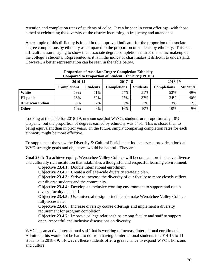retention and completion rates of students of color. It can be seen in event offerings, with those aimed at celebrating the diversity of the district increasing in frequency and attendance.

An example of this difficulty is found in the improved indicator for the proportion of associate degree completions by ethnicity as compared to the proportion of students by ethnicity. This is a difficult measure, trying to show that associate degree completions mirror the ethnic makeup of the college's students. Represented as it is in the indicator chart makes it difficult to understand. However, a better representation can be seen in the table below.

| Compared to Froportion of Diament Bimmer, |                    |                 |                    |                 |                    |                 |  |  |  |
|-------------------------------------------|--------------------|-----------------|--------------------|-----------------|--------------------|-----------------|--|--|--|
|                                           | 2016-14            |                 | 2017-18            |                 | 2018-19            |                 |  |  |  |
|                                           | <b>Completions</b> | <b>Students</b> | <b>Completions</b> | <b>Students</b> | <b>Completions</b> | <b>Students</b> |  |  |  |
| White                                     | 59%                | 51%             | 54%                | 51%             | 53%                | 49%             |  |  |  |
| <b>Hispanic</b>                           | 28%                | 39%             | 27%                | 37%             | 34%                | 40%             |  |  |  |
| <b>American Indian</b>                    | 3%                 | 2%              | 3%                 | 2%              | 3%                 | 2%              |  |  |  |
| Other                                     | 10%                | 8%              | 16%                | 10%             | 10%                | 9%              |  |  |  |

#### **Proportion of Associate Degree Completion Ethnicity Compared to Proportion of Student Ethnicity (IPEDS)**

Looking at the table for 2018-19, one can see that WVC's students are proportionally 40% Hispanic, but the proportion of degrees earned by ethnicity was 34%. This is closer than to being equivalent than in prior years. In the future, simply comparing completion rates for each ethnicity might be more effective.

To supplement the view the Diversity & Cultural Enrichment indicators can provide, a look at WVC strategic goals and objectives would be helpful. They are:

**Goal 23.4:** To achieve equity, Wenatchee Valley College will become a more inclusive, diverse and culturally rich institution that establishes a thoughtful and respectful learning environment.

**Objective 23.4.1:** Double international enrollment.

**Objective 23.4.2:** Create a college-wide diversity strategic plan.

**Objective 23.4.3:** Strive to increase the diversity of our faculty to more closely reflect our diverse students and the community.

**Objective 23.4.4:** Develop an inclusive working environment to support and retain diverse faculty and staff.

**Objective 23.4.5:** Use universal design principles to make Wenatchee Valley College fully accessible.

**Objective 23.4.6:** Increase diversity course offerings and implement a diversity requirement for program completion.

**Objective 23.4.7:** Improve college relationships among faculty and staff to support open, respectful and inclusive discussions on diversity.

WVC has an active international staff that is working to increase international enrollment. Admitted, this would not be hard to do from having 7 international students in 2014-15 to 11 students in 2018-19. However, these students offer a great chance to expand WVC's horizons and culture.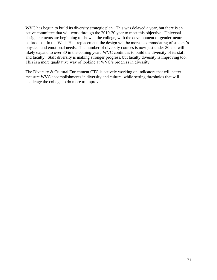WVC has begun to build its diversity strategic plan. This was delayed a year, but there is an active committee that will work through the 2019-20 year to meet this objective. Universal design elements are beginning to show at the college, with the development of gender-neutral bathrooms. In the Wells Hall replacement, the design will be more accommodating of student's physical and emotional needs. The number of diversity courses is now just under 30 and will likely expand to over 30 in the coming year. WVC continues to build the diversity of its staff and faculty. Staff diversity is making stronger progress, but faculty diversity is improving too. This is a more qualitative way of looking at WVC's progress in diversity.

The Diversity & Cultural Enrichment CTC is actively working on indicators that will better measure WVC accomplishments in diversity and culture, while setting thresholds that will challenge the college to do more to improve.